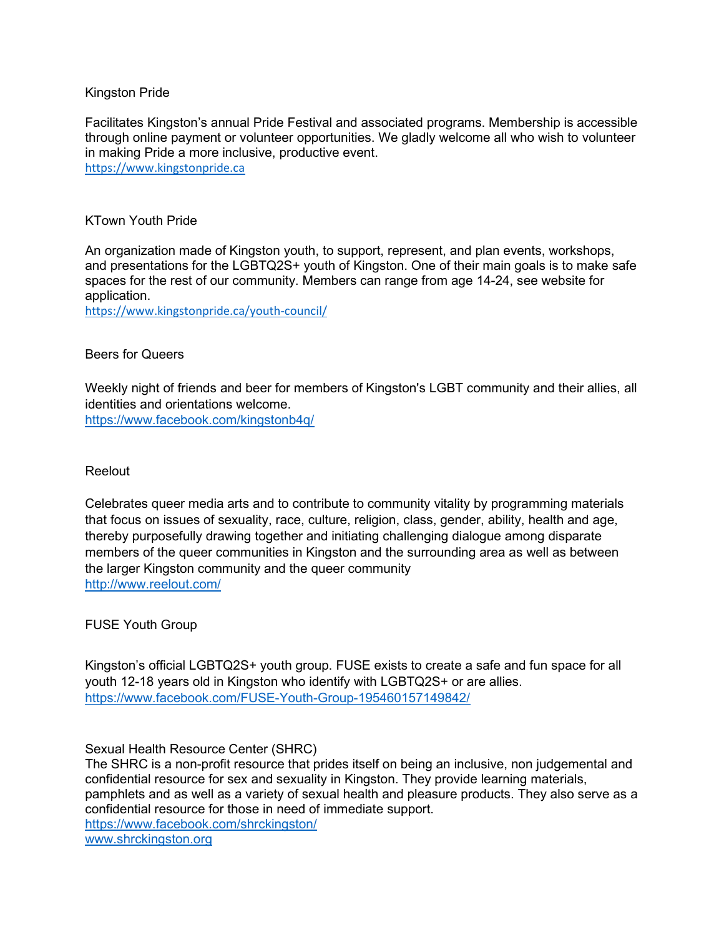## Kingston Pride

Facilitates Kingston's annual Pride Festival and associated programs. Membership is accessible through online payment or volunteer opportunities. We gladly welcome all who wish to volunteer in making Pride a more inclusive, productive event. https://www.kingstonpride.ca

## KTown Youth Pride

An organization made of Kingston youth, to support, represent, and plan events, workshops, and presentations for the LGBTQ2S+ youth of Kingston. One of their main goals is to make safe spaces for the rest of our community. Members can range from age 14-24, see website for application.

https://www.kingstonpride.ca/youth-council/

## Beers for Queers

Weekly night of friends and beer for members of Kingston's LGBT community and their allies, all identities and orientations welcome.

https://www.facebook.com/kingstonb4q/

## Reelout

Celebrates queer media arts and to contribute to community vitality by programming materials that focus on issues of sexuality, race, culture, religion, class, gender, ability, health and age, thereby purposefully drawing together and initiating challenging dialogue among disparate members of the queer communities in Kingston and the surrounding area as well as between the larger Kingston community and the queer community http://www.reelout.com/

FUSE Youth Group

Kingston's official LGBTQ2S+ youth group. FUSE exists to create a safe and fun space for all youth 12-18 years old in Kingston who identify with LGBTQ2S+ or are allies. https://www.facebook.com/FUSE-Youth-Group-195460157149842/

Sexual Health Resource Center (SHRC)

The SHRC is a non-profit resource that prides itself on being an inclusive, non judgemental and confidential resource for sex and sexuality in Kingston. They provide learning materials, pamphlets and as well as a variety of sexual health and pleasure products. They also serve as a confidential resource for those in need of immediate support. https://www.facebook.com/shrckingston/ www.shrckingston.org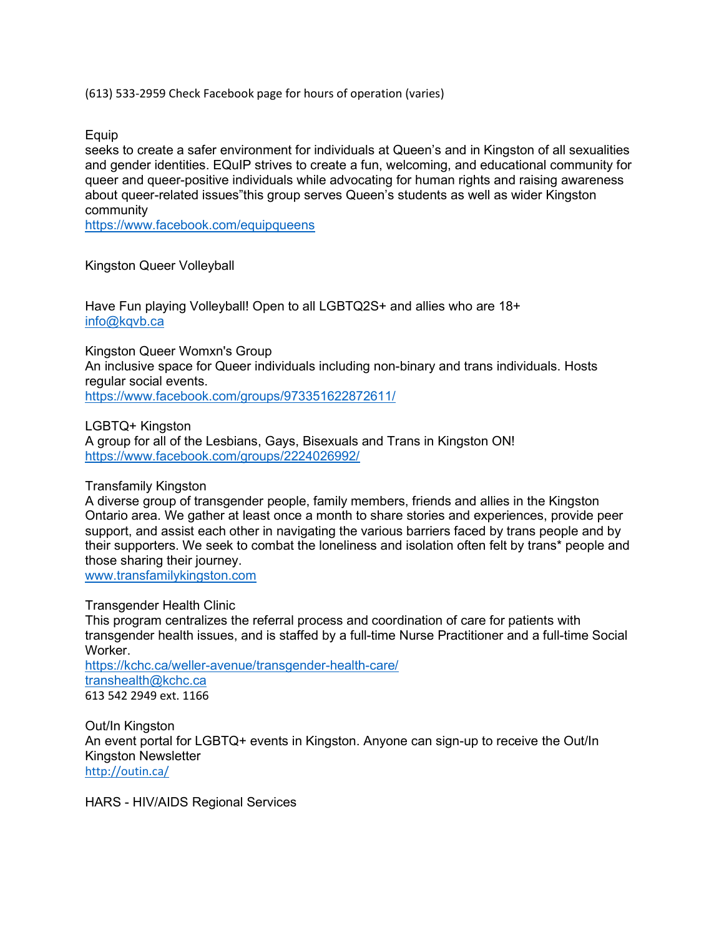(613) 533-2959 Check Facebook page for hours of operation (varies)

Equip

seeks to create a safer environment for individuals at Queen's and in Kingston of all sexualities and gender identities. EQuIP strives to create a fun, welcoming, and educational community for queer and queer-positive individuals while advocating for human rights and raising awareness about queer-related issues"this group serves Queen's students as well as wider Kingston community

https://www.facebook.com/equipqueens

Kingston Queer Volleyball

Have Fun playing Volleyball! Open to all LGBTQ2S+ and allies who are 18+ info@kqvb.ca

Kingston Queer Womxn's Group An inclusive space for Queer individuals including non-binary and trans individuals. Hosts regular social events. https://www.facebook.com/groups/973351622872611/

LGBTQ+ Kingston A group for all of the Lesbians, Gays, Bisexuals and Trans in Kingston ON! https://www.facebook.com/groups/2224026992/

Transfamily Kingston

A diverse group of transgender people, family members, friends and allies in the Kingston Ontario area. We gather at least once a month to share stories and experiences, provide peer support, and assist each other in navigating the various barriers faced by trans people and by their supporters. We seek to combat the loneliness and isolation often felt by trans\* people and those sharing their journey.

www.transfamilykingston.com

Transgender Health Clinic This program centralizes the referral process and coordination of care for patients with transgender health issues, and is staffed by a full-time Nurse Practitioner and a full-time Social Worker. https://kchc.ca/weller-avenue/transgender-health-care/ transhealth@kchc.ca 613 542 2949 ext. 1166

Out/In Kingston An event portal for LGBTQ+ events in Kingston. Anyone can sign-up to receive the Out/In Kingston Newsletter http://outin.ca/

HARS - HIV/AIDS Regional Services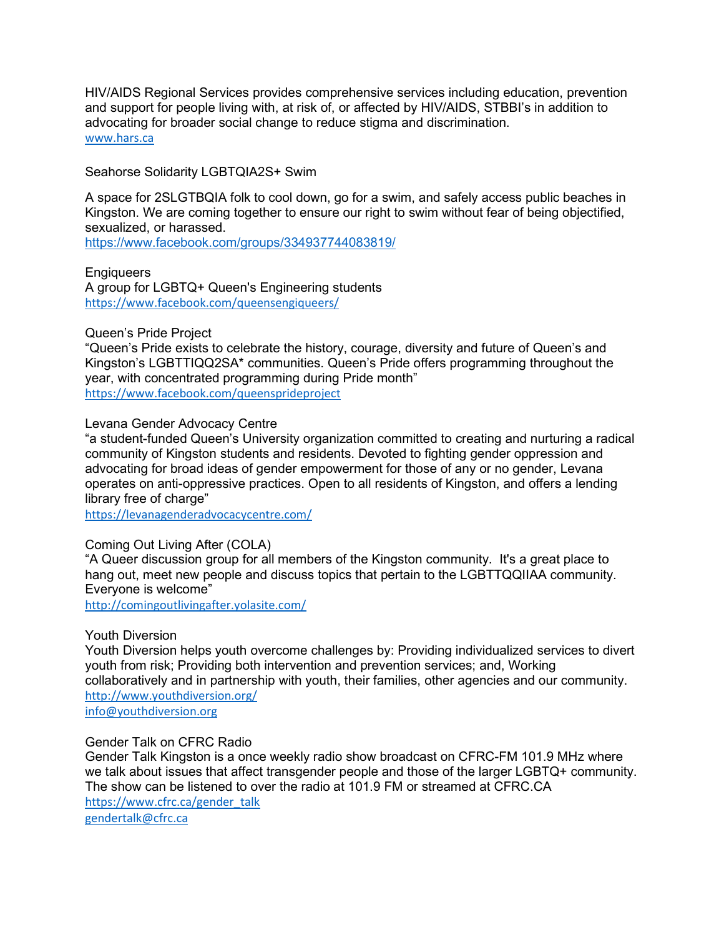HIV/AIDS Regional Services provides comprehensive services including education, prevention and support for people living with, at risk of, or affected by HIV/AIDS, STBBI's in addition to advocating for broader social change to reduce stigma and discrimination. www.hars.ca

Seahorse Solidarity LGBTQIA2S+ Swim

A space for 2SLGTBQIA folk to cool down, go for a swim, and safely access public beaches in Kingston. We are coming together to ensure our right to swim without fear of being objectified, sexualized, or harassed.

https://www.facebook.com/groups/334937744083819/

**Engiqueers** A group for LGBTQ+ Queen's Engineering students https://www.facebook.com/queensengiqueers/

## Queen's Pride Project

"Queen's Pride exists to celebrate the history, courage, diversity and future of Queen's and Kingston's LGBTTIQQ2SA\* communities. Queen's Pride offers programming throughout the year, with concentrated programming during Pride month" https://www.facebook.com/queensprideproject

Levana Gender Advocacy Centre

"a student-funded Queen's University organization committed to creating and nurturing a radical community of Kingston students and residents. Devoted to fighting gender oppression and advocating for broad ideas of gender empowerment for those of any or no gender, Levana operates on anti-oppressive practices. Open to all residents of Kingston, and offers a lending library free of charge"

https://levanagenderadvocacycentre.com/

# Coming Out Living After (COLA)

"A Queer discussion group for all members of the Kingston community. It's a great place to hang out, meet new people and discuss topics that pertain to the LGBTTQQIIAA community. Everyone is welcome"

http://comingoutlivingafter.yolasite.com/

## Youth Diversion

Youth Diversion helps youth overcome challenges by: Providing individualized services to divert youth from risk; Providing both intervention and prevention services; and, Working collaboratively and in partnership with youth, their families, other agencies and our community. http://www.youthdiversion.org/

info@youthdiversion.org

## Gender Talk on CFRC Radio

Gender Talk Kingston is a once weekly radio show broadcast on CFRC-FM 101.9 MHz where we talk about issues that affect transgender people and those of the larger LGBTQ+ community. The show can be listened to over the radio at 101.9 FM or streamed at CFRC.CA https://www.cfrc.ca/gender\_talk

gendertalk@cfrc.ca